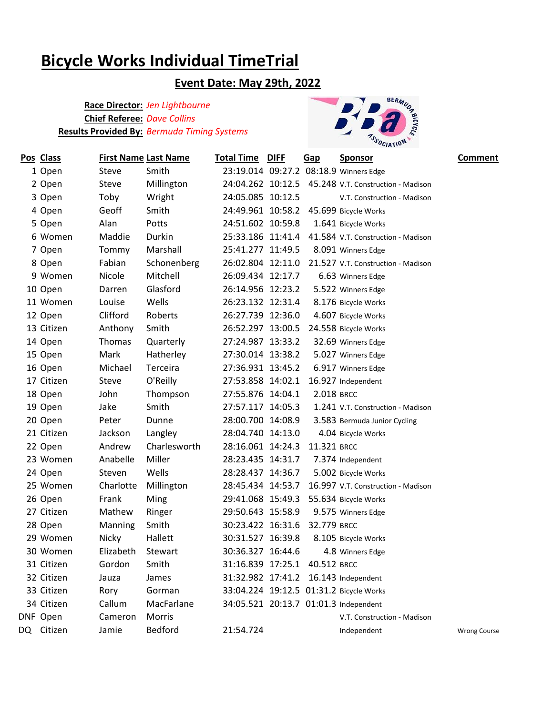# **Bicycle Works Individual TimeTrial**

### **Event Date: May 29th, 2022**

#### **Race Director:** *Jen Lightbourne* **Chief Referee:** *Dave Collins* **Results Provided By:** *Bermuda Timing Systems*



| Pos Class  | <b>First Name Last Name</b> |              | <b>Total Time DIFF</b>        | <u>Gap</u>  | <b>Sponsor</b>                                       | <b>Comment</b>      |
|------------|-----------------------------|--------------|-------------------------------|-------------|------------------------------------------------------|---------------------|
| 1 Open     | Steve                       | Smith        |                               |             | 23:19.014 09:27.2 08:18.9 Winners Edge               |                     |
| 2 Open     | Steve                       | Millington   |                               |             | 24:04.262 10:12.5 45.248 V.T. Construction - Madison |                     |
| 3 Open     | Toby                        | Wright       | 24:05.085 10:12.5             |             | V.T. Construction - Madison                          |                     |
| 4 Open     | Geoff                       | Smith        | 24:49.961 10:58.2             |             | 45.699 Bicycle Works                                 |                     |
| 5 Open     | Alan                        | Potts        | 24:51.602 10:59.8             |             | 1.641 Bicycle Works                                  |                     |
| 6 Women    | Maddie                      | Durkin       | 25:33.186 11:41.4             |             | 41.584 V.T. Construction - Madison                   |                     |
| 7 Open     | Tommy                       | Marshall     | 25:41.277 11:49.5             |             | 8.091 Winners Edge                                   |                     |
| 8 Open     | Fabian                      | Schonenberg  | 26:02.804 12:11.0             |             | 21.527 V.T. Construction - Madison                   |                     |
| 9 Women    | Nicole                      | Mitchell     | 26:09.434 12:17.7             |             | 6.63 Winners Edge                                    |                     |
| 10 Open    | Darren                      | Glasford     | 26:14.956 12:23.2             |             | 5.522 Winners Edge                                   |                     |
| 11 Women   | Louise                      | Wells        | 26:23.132 12:31.4             |             | 8.176 Bicycle Works                                  |                     |
| 12 Open    | Clifford                    | Roberts      | 26:27.739 12:36.0             |             | 4.607 Bicycle Works                                  |                     |
| 13 Citizen | Anthony                     | Smith        | 26:52.297 13:00.5             |             | 24.558 Bicycle Works                                 |                     |
| 14 Open    | Thomas                      | Quarterly    | 27:24.987 13:33.2             |             | 32.69 Winners Edge                                   |                     |
| 15 Open    | Mark                        | Hatherley    | 27:30.014 13:38.2             |             | 5.027 Winners Edge                                   |                     |
| 16 Open    | Michael                     | Terceira     | 27:36.931 13:45.2             |             | 6.917 Winners Edge                                   |                     |
| 17 Citizen | Steve                       | O'Reilly     | 27:53.858 14:02.1             |             | 16.927 Independent                                   |                     |
| 18 Open    | John                        | Thompson     | 27:55.876 14:04.1             | 2.018 BRCC  |                                                      |                     |
| 19 Open    | Jake                        | Smith        | 27:57.117 14:05.3             |             | 1.241 V.T. Construction - Madison                    |                     |
| 20 Open    | Peter                       | Dunne        | 28:00.700 14:08.9             |             | 3.583 Bermuda Junior Cycling                         |                     |
| 21 Citizen | Jackson                     | Langley      | 28:04.740 14:13.0             |             | 4.04 Bicycle Works                                   |                     |
| 22 Open    | Andrew                      | Charlesworth | 28:16.061 14:24.3             | 11.321 BRCC |                                                      |                     |
| 23 Women   | Anabelle                    | Miller       | 28:23.435 14:31.7             |             | 7.374 Independent                                    |                     |
| 24 Open    | Steven                      | Wells        | 28:28.437 14:36.7             |             | 5.002 Bicycle Works                                  |                     |
| 25 Women   | Charlotte                   | Millington   | 28:45.434 14:53.7             |             | 16.997 V.T. Construction - Madison                   |                     |
| 26 Open    | Frank                       | Ming         | 29:41.068 15:49.3             |             | 55.634 Bicycle Works                                 |                     |
| 27 Citizen | Mathew                      | Ringer       | 29:50.643 15:58.9             |             | 9.575 Winners Edge                                   |                     |
| 28 Open    | Manning                     | Smith        | 30:23.422 16:31.6             | 32.779 BRCC |                                                      |                     |
| 29 Women   | Nicky                       | Hallett      | 30:31.527 16:39.8             |             | 8.105 Bicycle Works                                  |                     |
| 30 Women   | Elizabeth                   | Stewart      | 30:36.327 16:44.6             |             | 4.8 Winners Edge                                     |                     |
| 31 Citizen | Gordon                      | Smith        | 31:16.839 17:25.1 40.512 BRCC |             |                                                      |                     |
| 32 Citizen | Jauza                       | James        |                               |             | 31:32.982 17:41.2 16.143 Independent                 |                     |
| 33 Citizen | Rory                        | Gorman       |                               |             | 33:04.224 19:12.5 01:31.2 Bicycle Works              |                     |
| 34 Citizen | Callum                      | MacFarlane   |                               |             | 34:05.521 20:13.7 01:01.3 Independent                |                     |
| DNF Open   | Cameron                     | Morris       |                               |             | V.T. Construction - Madison                          |                     |
| DQ Citizen | Jamie                       | Bedford      | 21:54.724                     |             | Independent                                          | <b>Wrong Course</b> |